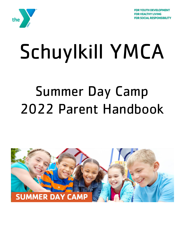



# Schuylkill YMCA

# Summer Day Camp 2022 Parent Handbook

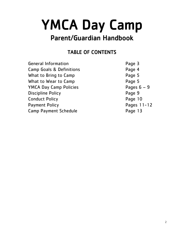# YMCA Day Camp

# Parent/Guardian Handbook

## TABLE OF CONTENTS

| <b>General Information</b>          |  |  |  |  |
|-------------------------------------|--|--|--|--|
| <b>Camp Goals &amp; Definitions</b> |  |  |  |  |
| What to Bring to Camp               |  |  |  |  |
| What to Wear to Camp                |  |  |  |  |
| <b>YMCA Day Camp Policies</b>       |  |  |  |  |
| <b>Discipline Policy</b>            |  |  |  |  |
| <b>Conduct Policy</b>               |  |  |  |  |
| <b>Payment Policy</b>               |  |  |  |  |
| <b>Camp Payment Schedule</b>        |  |  |  |  |
|                                     |  |  |  |  |

Page 3 Page 4 Page 5 Page 5 Pages  $6 - 9$ Page 9 Page 10 Pages 11-12 Page 13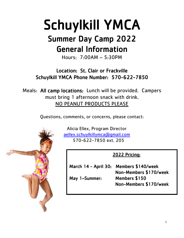# Schuylkill YMCA

# Summer Day Camp 2022 General Information

Hours: 7:00AM – 5:30PM

Location: St. Clair or Frackville Schuylkill YMCA Phone Number: 570-622-7850

Meals: All camp locations: Lunch will be provided. Campers must bring 1 afternoon snack with drink. NO PEANUT PRODUCTS PLEASE

Questions, comments, or concerns, please contact:



 Alicia Ellex, Program Director [aellex.schuylkillymca@gmail.com](mailto:aellex.schuylkillymca@gmail.com) 570-622-7850 ext. 205

### 2022 Pricing:

|               | March 14 - April 30: Members \$140/week |
|---------------|-----------------------------------------|
|               | Non-Members \$170/week                  |
| May 1-Summer: | Members \$150                           |
|               | Non-Members \$170/week                  |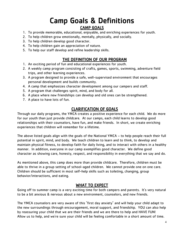## Camp Goals & Definitions CAMP GOALS

- 1. To provide memorable, educational, enjoyable, and enriching experiences for youth.
- 2. To help children grow emotionally, mentally, physically, and socially.
- 3. To help children develop good character.
- 4. To help children gain an appreciation of nature.
- 5. To help our staff develop and refine leadership skills.

#### THE DEFINITION OF OUR PROGRAM

- 1. An exciting period of fun and educational experiences for youth.
- 2. A weekly camp program consisting of crafts, games, sports, swimming, adventure field trips, and other learning experiences.
- 3. A program designed to provide a safe, well-supervised environment that encourages personal development and builds community.
- 4. A camp that emphasizes character development among our campers and staff.
- 5. A program that challenges spirit, mind, and body for all.
- 6. A place where new friendships can develop and old ones can be strengthened.
- 7. A place to have lots of fun.

#### CLARIFICATION OF GOALS

Through our daily programs, the YMCA creates a positive experience for each child. We do more for our youth than just provide childcare. At our camps, each child learns to develop good relationships with their counselors, have fun, and make friends. In short, we create enriching experiences that children will remember for a lifetime.

The above listed goals align with the goals of the National YMCA – to help people reach their full potential in spirit, mind, and body. We teach children to learn and to think, to develop and maintain physical fitness, to develop faith for daily living, and to interact with others in a healthy manner. In addition, everyone in our camp exemplifies good character. We define good character as showing care, honesty, respect, and responsibility in everything that we say and do.

As mentioned above, this camp does more than provide childcare. Therefore, children must be able to thrive in a group setting of school-aged children. We cannot provide one on one care. Children should be sufficient in most self-help skills such as toileting, changing, group behavior/interactions, and eating.

#### WHAT TO EXPECT

Going off to summer camp is a very exciting time for both campers and parents. It's very natural to be a bit anxious & nervous about a new environment, counselors, and new friends.

The YMCA counselors are very aware of this "first day anxiety" and will help your child adapt to the new surroundings through encouragement, moral support, and friendship. YOU can also help by reassuring your child that we are their friends and we are there to help and HAVE FUN! Allow us to help, and we're sure your child will be feeling comfortable in a short amount of time.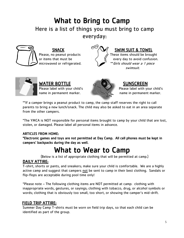# What to Bring to Camp Here is a list of things you must bring to camp everyday:



### SNACK  $\mathbb{C}^{\infty}/\mathbb{V}$  SWIM SUIT & TOWEL

Please, no peanut products  $\rangle$   $\rangle$  These items should be brought or items that must be  $\left( \begin{array}{cc} \text{if} & \text{every day to avoid confusion.} \end{array} \right)$ microwaved or refrigerated. \*\*Girls should wear a 1 piece swimsuit.



WATER BOTTLE A CONSCREEN name in permanent marker.  $\leq$   $\leq$   $\leq$  name in permanent marker.



Please label with your child's Please label with your child's

\*\*If a camper brings a peanut product to camp, the camp staff reserves the right to call parents to bring a new lunch/snack. The child may also be asked to eat in an area separate from the other campers.

\*The YMCA is NOT responsible for personal items brought to camp by your child that are lost, stolen, or damaged. Please label all personal items in advance.

#### ARTICLES FROM HOME:

\*Electronic games and toys are not permitted at Day Camp. All cell phones must be kept in campers' backpacks during the day as well.

# What to Wear to Camp

(Below is a list of appropriate clothing that will be permitted at camp.)

#### DAILY ATTIRE:

T-shirt, shorts or pants, and sneakers; make sure your child is comfortable. We are a highly active camp and suggest that campers not be sent to camp in their best clothing. Sandals or flip-flops are acceptable during pool time only!

\*Please note – The following clothing items are NOT permitted at camp: clothing with inappropriate words, gestures, or sayings; clothing with tobacco, drug, or alcohol symbols or words; clothing that is obviously too small, too short, or showing the camper's mid-drift.

#### FIELD TRIP ATTIRE:

Summer Day Camp T-shirts must be worn on field trip days, so that each child can be identified as part of the group.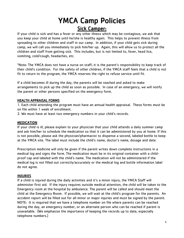# YMCA Camp Policies Sick Camper:

If your child is sick and has a fever or any other illness which may be contagious, we ask that you keep your child at home until he/she is healthy again. This helps to prevent illness from spreading to other children and staff in our camp. In addition, if your child gets sick during camp, we will call you immediately to pick him/her up. Again, this will allow us to protect all the children and staff from getting sick. This includes, but is not limited to, fever, head lice, vomiting, cold/cough, headaches, etc.

\*Note: The YMCA does not have a nurse on staff; it is the parent's responsibility to keep track of their child's condition. For the safety of other children, if the YMCA staff feels that a child is not fit to return to the program, the YMCA reserves the right to refuse service until fit.

If a child becomes ill during the day, the parents will be reached and asked to make arrangements to pick up the child as soon as possible. In case of an emergency, we will notify the parent or other persons specified on the emergency form.

#### HEALTH APPRAISAL FORMS

1. Each child attending the program must have an annual health appraisal. These forms must be on file within 1 week of enrollment.

2. We must have at least two emergency numbers in your child's records.

#### MEDICATION

If your child is ill, please explain to your physician that your child attends a daily summer camp and ask him/her to schedule the medication so that it can be administered by you at home. If this is not possible, please ask the physician/pharmacist to dispense a second, labeled bottle to keep at the YMCA site. The label must include the child's name, doctor's name, dosage and date.

Prescription medicine will only be given if the parent writes down complete instructions in a medical log and signs the form. The medication must be in its original container with a childproof cap and labeled with the child's name. The medication will not be administered if the medical log is not filled out correctly/accurately or the medical log and bottle information label do not agree.

#### INJURIES

If a child is injured during the daily activities and it's a minor injury, the YMCA Staff will administer first aid. If the injury requires outside medical attention, the child will be taken to the Emergency room at the hospital by ambulance. The parent will be called and should meet the child at the Emergency Room. If possible, we will wait at the child's program for the parents. An accident report will be filled out for all minor or major injuries and must be signed by the parent. NOTE: It is required that we have a telephone number on file where parents can be reached during the day, an emergency number, or an alternate person who can be reached if parent is unavailable. (We emphasize the importance of keeping the records up to date, especially telephone numbers.)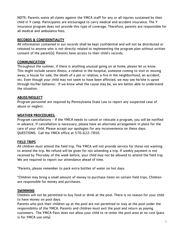NOTE: Parents waive all claims against the YMCA staff for any or all injuries sustained by their child in Y camp. Participants are encouraged to carry medical and accident insurance. The Y insurance program does not provide this type of coverage. Therefore, parents are responsible for all medical and ambulance fees.

#### RECORDS & CONFIDENTIALITY

All information contained in our records shall be kept confidential and will not be distributed or released to anyone who is not directly related to implementing the program plan without written consent of the parent(s). Parents have access to their child's records.

#### **COMMUNICATION**

Throughout the summer, if there is anything unusual going on at home, please let us know. This might include severe illness, a relative in the hospital, someone coming to visit or moving away, a house for sale, the death of a pet or relative, a fire in the neighborhood, an accident, etc. Even though your child may not seem to have been affected, we may see he/she is upset through his/her behavior. If we know what the cause may be, we are better able to understand the situation.

#### ABUSE/NEGLECT

Program personnel are required by Pennsylvania State Law to report any suspected case of abuse or neglect.

#### WEATHER PROCEDURES:

Program cancellations - If the YMCA needs to cancel or relocate a program, you will be notified in advance. If cancellation is necessary, please have an alternate arrangement in place for the care of your child. Please accept our apologies for any inconvenience on these days. QUESTIONS: Call the YMCA office at 570-622-7850.

#### FIELD TRIPS

All children must attend the field trip. The YMCA will not provide service for those not wanting to attend the trip. No refund will be given for not attending a trip. If weekly payment is not received by Thursday of the week before, your child may not be allowed to attend the field trip. We are required to report our attendance ahead of time.

\*Parents, please remember to pack extra bottles of water on hot days.

\*Children may bring a small amount of money to purchase items on certain field trips. Children are responsible for money and purchases.

#### SWIMMING

Children will not be permitted to buy food or drink at the pool. There is no reason for your child to have money on pool days.

Parents who pick their children up at the pool are not permitted to stay at the pool under the responsibility of the YMCA. Parents and children must exit the pool and return as paying customers. The YMCA Pass does not allow your child to re-enter the pool area at no cost (pass is for YMCA use only).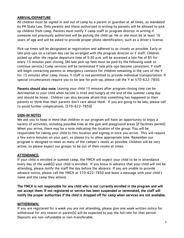#### ARRIVAL/DEPARTURE

All children must be signed in and out of camp by a parent or guardian at all times, as mandated by PA State Law. Only parents and those authorized in writing by parents will be allowed to pick up children from camp. Parents must notify Y camp staff or program director in writing if someone not previously authorized will be picking the child up. He or she must be at least 16 years of age and will be asked to provide proper photo identification, such as a driver's license.

Pick-up times will be designated at registration and adhered to as closely as possible. Early or late pick-ups on a certain day can be arranged with the program director or Y staff. Children picked up after the regular departure time of 5:30 p.m. will be assessed a late fee of \$5 for every 15 minutes past closing. (All late pick-up fees must be paid by the following week to continue service.) Camp services will be terminated if late pick-ups become consistent. Y staff will begin contacting parents or emergency contacts for children remaining in the care of the Y for 15 minutes after camp closes. Y staff is not permitted to provide individual transportation. If special circumstances require you to be late for pick-up, please call the Y at 570-622-7850.

Parents should also note: Leaving your child 15 minutes after program closing time can be detrimental to your child when he/she is tired and hungry at the end of the summer camp day and should be home. Children can also become afraid that something has happened to their parents or think that their parents don't care about them. If you are going to be late, please call to avoid further complications. (570-622-7850)

#### SIGN-IN NOTES

We ask you to keep in mind that children in our program will have an opportunity to enjoy a variety of activities, including possible time at the gym and playground areas (if facilities permit). When you arrive, there may be a note indicating the location of the group. You will be responsible for taking your child to this location and signing in once you arrive. This will require a few extra minutes on your part, so please try to allow appropriate time. Remember our program is designed to meet as many of the camper's needs as possible. Children will be very active, so please expect our groups to be out of their rooms at times.

#### ATTENDANCE:

If your child is enrolled in summer camp, the YMCA will expect your child to be in attendance every day of the week(s) your child is enrolled. If you know in advance that your child will not be attending, please notify the staff the day before the absence. If you are unable to provide advance notice, please call the YMCA at 570-622-7850 and leave a message with your child's name and the camp they attend.

The YMCA is not responsible for any child who is not currently enrolled in the program and will not accept them. If not registered or service has been suspended or terminated, the staff will notify the proper authorities if the child is dropped off for camp when services are not available.

#### WITHDRAWAL

If you are registered for a week you are not attending, please give one week written notice for withdrawal for any reason or parent(s) will be expected to pay the full rate for that period. Deposits are non-refundable or non-transferable.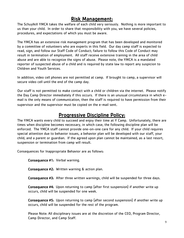### Risk Management:

The Schuylkill YMCA takes the welfare of each child very seriously. Nothing is more important to us than your child. In order to share that responsibility with you, we have several policies, procedures, and expectations of which you must be aware.

The YMCA has an extensive risk management program that has been developed and monitored by a committee of volunteers who are experts in this field. Our day camp staff is expected to read, sign, and follow our Staff Code of Conduct; failure to follow this Code of Conduct may result in termination of employment. All staff receive extensive training in the area of child abuse and are able to recognize the signs of abuse. Please note, the YMCA is a mandated reporter of suspected abuse of a child and is required by state law to report any suspicion to Children and Youth Services.

In addition, video cell phones are not permitted at camp. If brought to camp, a supervisor will secure video cell until the end of the camp day.

Our staff is not permitted to make contact with a child or children via the internet. Please notify the Day Camp Director immediately if this occurs. If there is an unusual circumstance in which email is the only means of communication, then the staff is required to have permission from their supervisor and the supervisor must be copied on the e-mail sent.

### Progressive Discipline Policy:

The YMCA wants every child to succeed and enjoy their time at Y Camp. Unfortunately, there are times when discipline becomes necessary, in which case, the following discipline plan will be enforced. The YMCA staff cannot provide one-on-one care for any child. If your child requires special attention due to behavior issues, a behavior plan will be developed with our staff, your child, and a parent or guardian. If the agreed upon plan cannot be maintained, as a last resort, suspension or termination from camp will result.

Consequences for Inappropriate Behavior are as follows:

Consequence #1: Verbal warning.

Consequence #2: Written warning & action plan.

Consequence #3: After three written warnings, child will be suspended for three days.

Consequence #4: Upon returning to camp (after first suspension) if another write up occurs, child will be suspended for one week.

Consequence #5: Upon returning to camp (after second suspension) if another write up occurs, child will be suspended for the rest of the program.

Please Note: All disciplinary issues are at the discretion of the CEO, Program Director, Camp Director, and Camp Staff.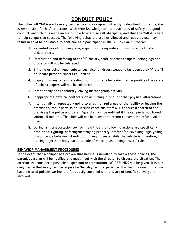## CONDUCT POLICY

The Schuylkill YMCA wants every camper to enjoy camp activities by understanding that he/she is responsible for his/her actions. With prior knowledge of our basic rules of safety and good conduct, each child is made aware of how to exercise self-discipline, and that the YMCA is here to help campers to succeed. The following behaviors are not allowed and repeated use may result in child being unable to continue as a participant in the 'Y' Day Camp Program:

- 1. Repeated use of foul language, arguing, or being rude and discourteous to staff and/or peers.
- 2. Destruction and defacing of the 'Y', facility, staff or other campers' belongings and property will not be tolerated.
- 3. Bringing or using illegal substances: alcohol, drugs, weapons (as deemed by 'Y' staff) or unsafe personal sports equipment.
- 4. Engaging in any type of stealing, fighting or any behavior that jeopardizes the safety of other campers will not be tolerated.
- 5. Intentionally and repeatedly leaving his/her group activity.
- 6. Inappropriate physical contact such as hitting, biting, or other physical altercations.
- 7. Intentionally or repeatedly going to unauthorized areas of the facility or leaving the premises without permission. In such cases the staff will: conduct a search of the premises; the police and parent/guardian will be notified if the camper is not found within 15 minutes. The child will not be allowed to return to camp. No refund will be given.
- 8. During 'Y' transportation to/from field trips the following actions are specifically prohibited: fighting, defacing/destroying property, profane/abusive language, yelling, discourteous behavior, standing or changing seats while the vehicle is in motion, putting objects or body parts outside of vehicle, disobeying drivers' rules.

#### BEHAVIOR MANAGEMENT PROCEDURES

In the event that a camper has proven that he/she is unwilling to follow these policies, the parent/guardian will be notified and must meet with the director to discuss the situation. The director will consider a possible suspension or termination. NO REFUNDS will be given. It is our daily desire that every camper enjoys his/her day camp experience. It is for this reason that we have initiated policies we feel are fair, easily complied with and are of benefit to everyone involved.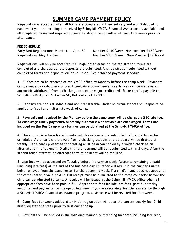## SUMMER CAMP PAYMENT POLICY

Registration is accepted when all forms are completed in their entirety and a \$10 deposit for each week you are enrolling is received by Schuylkill YMCA. Financial Assistance is available and all completed forms and required documents should be submitted at least two weeks prior to attendance.

#### FEE SCHEDULE

Early Bird Registration: March 14 – April 30 Member \$140/week Non-member \$170/week Registration: May 1 - Camp Member \$150/week Non-Member \$170/week

Registrations will only be accepted if all highlighted areas on the registration forms are completed and the appropriate deposits are submitted. Any registration submitted without completed forms and deposits will be returned. See attached payment schedule.

1. All fees are to be received at the YMCA office by Monday before the camp week. Payments can be made by cash, check or credit card. As a convenience, weekly fees can be made as an automatic withdrawal from a checking account or major credit card. Make checks payable to: Schuylkill YMCA, 520 N. Centre St., Pottsville, PA 17901.

2. Deposits are non-refundable and non-transferable. Under no circumstances will deposits be applied to fees for an alternate week of camp.

#### 3. Payments not received by the Monday before the camp week will be charged a \$10 late fee. To encourage timely payments, bi-weekly automatic withdrawals are encouraged. Forms are included on the Day Camp entry form or can be obtained at the Schuylkill YMCA office.

4. The appropriate form for automatic withdrawals must be submitted before drafts can be scheduled. Automatic withdrawals from a checking account or credit card will be drafted biweekly. Debit cards presented for drafting must be accompanied by a voided check as an alternate form of payment. Drafts that are returned will be resubmitted within 5 days. After the second failed attempt, an alternate form of payment will be required.

5. Late fees will be assessed on Tuesday before the service week. Accounts remaining unpaid (including late fees) at the end of the business day Thursday will result in the camper's name being removed from the camp roster for the upcoming week. If a child's name does not appear on the camp roster, a valid paid-in-full receipt must be submitted to the camp counselor before the child can be admitted to camp. A receipt will be issued at the Schuylkill YMCA office when all appropriate fees have been paid in full. Appropriate fees include late fees, past due weekly amounts, and payments for the upcoming week. If you are receiving financial assistance through a Schuylkill YMCA financial assistance program, assistance will be revoked for that week.

6. Camp fees for weeks added after initial registration will be at the current weekly fee. Child must register one week prior to first day at camp.

7. Payments will be applied in the following manner: outstanding balances including late fees,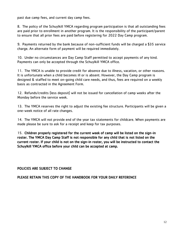past due camp fees, and current day camp fees.

8. The policy of the Schuylkill YMCA regarding program participation is that all outstanding fees are paid prior to enrollment in another program. It is the responsibility of the participant/parent to ensure that all prior fees are paid before registering for 2022 Day Camp program.

9. Payments returned by the bank because of non-sufficient funds will be charged a \$35 service charge. An alternate form of payment will be required immediately.

10. Under no circumstances are Day Camp Staff permitted to accept payments of any kind. Payments can only be accepted through the Schuylkill YMCA office.

11. The YMCA is unable to provide credit for absence due to illness, vacation, or other reasons. It is unfortunate when a child becomes ill or is absent. However, the Day Camp program is designed & staffed to meet on-going child care needs, and thus, fees are required on a weekly basis as contracted in the Agreement Form.

12. Refunds/credits (less deposit) will not be issued for cancellation of camp weeks after the Monday before the service week.

13. The YMCA reserves the right to adjust the existing fee structure. Participants will be given a one-week notice of all rate changes.

14. The YMCA will not provide end of the year tax statements for childcare. When payments are made please be sure to ask for a receipt and keep for tax purposes.

15. Children properly registered for the current week of camp will be listed on the sign-in roster. The YMCA Day Camp Staff is not responsible for any child that is not listed on the current roster. If your child is not on the sign-in roster, you will be instructed to contact the Schuylkill YMCA office before your child can be accepted at camp.

#### POLICIES ARE SUBJECT TO CHANGE

#### PLEASE RETAIN THIS COPY OF THE HANDBOOK FOR YOUR DAILY REFERENCE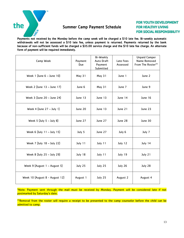

#### Summer Camp Payment Schedule

**FOR YOUTH DEVELOPMENT FOR HEALTHY LIVING FOR SOCIAL RESPONSIBILITY** 

Payments not received by the Monday before the camp week will be charged a \$10 late fee. Bi-weekly automatic withdrawals will not be assessed a \$10 late fee, unless payment is returned. Payments returned by the bank because of non-sufficient funds will be charged a \$35.00 service charge and the \$10 late fee charge. An alternate form of payment will be required immediately.

| Camp Week                      | Payment<br>Due | Bi-Weekly<br><b>Auto Draft</b><br>Payment<br>Submitted | Late Fees<br>Assessed | <b>Unpaid Camper</b><br>Name Removed<br>From The Roster** |
|--------------------------------|----------------|--------------------------------------------------------|-----------------------|-----------------------------------------------------------|
| Week 1 (June $6 -$ June 10)    | May 31         | May 31                                                 | June 1                | June 2                                                    |
| Week 2 (June 13 - June 17)     | June 6         | May 31                                                 | June 7                | June 9                                                    |
| Week 3 (June 20 - June 24)     | June 13        | June 13                                                | June 14               | June 16                                                   |
| Week 4 (June $27 -$ July 1)    | June 20        | June 13                                                | June 21               | June 23                                                   |
| Week 5 (July $5 -$ July 8)     | June 27        | June 27                                                | June 28               | June 30                                                   |
| Week 6 (July 11 - July 15)     | July 5         | June 27                                                | July 6                | July 7                                                    |
| Week 7 (July 18 - July 22)     | July 11        | July 11                                                | July 12               | July 14                                                   |
| Week 8 (July 25 - July 29)     | July 18        | July 11                                                | July 19               | July 21                                                   |
| Week 9 (August 1 - August 5)   | July 25        | July 25                                                | July 26               | July 28                                                   |
| Week 10 (August 8 - August 12) | August 1       | July 25                                                | August 2              | August 4                                                  |

\*Note: Payment sent through the mail must be received by Monday. Payment will be considered late if not postmarked by Saturday's date.

\*\*Removal from the roster will require a receipt to be presented to the camp counselor before the child can be admitted to camp.